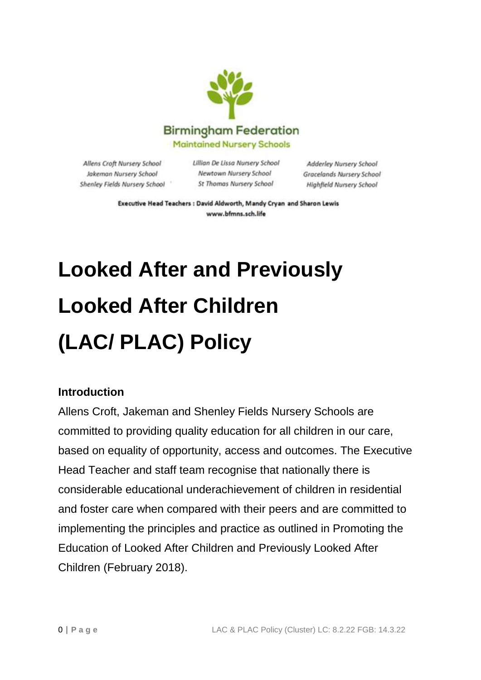

Allens Croft Nursery School Jakeman Nursery School Shenley Fields Nursery School Lillian De Lissa Nursery School Newtown Nursery School St Thomas Nursery School

Adderley Nursery School Gracelands Nursery School Highfield Nursery School

Executive Head Teachers : David Aldworth, Mandy Cryan and Sharon Lewis www.bfmns.sch.life

# **Looked After and Previously Looked After Children (LAC/ PLAC) Policy**

#### **Introduction**

Allens Croft, Jakeman and Shenley Fields Nursery Schools are committed to providing quality education for all children in our care, based on equality of opportunity, access and outcomes. The Executive Head Teacher and staff team recognise that nationally there is considerable educational underachievement of children in residential and foster care when compared with their peers and are committed to implementing the principles and practice as outlined in Promoting the Education of Looked After Children and Previously Looked After Children (February 2018).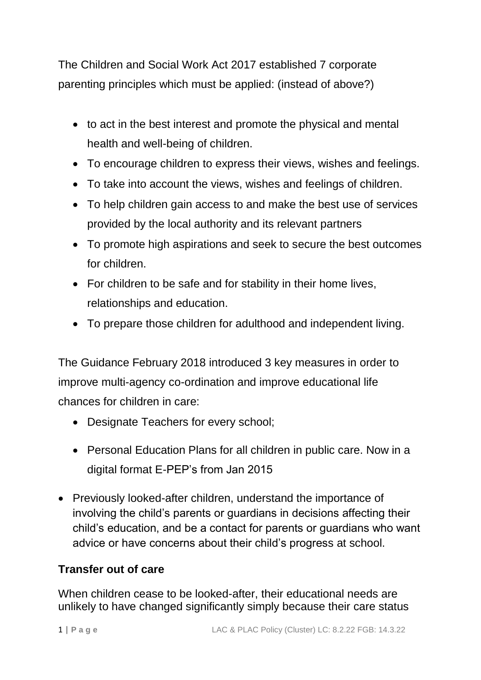The Children and Social Work Act 2017 established 7 corporate parenting principles which must be applied: (instead of above?)

- to act in the best interest and promote the physical and mental health and well-being of children.
- To encourage children to express their views, wishes and feelings.
- To take into account the views, wishes and feelings of children.
- To help children gain access to and make the best use of services provided by the local authority and its relevant partners
- To promote high aspirations and seek to secure the best outcomes for children.
- For children to be safe and for stability in their home lives, relationships and education.
- To prepare those children for adulthood and independent living.

The Guidance February 2018 introduced 3 key measures in order to improve multi-agency co-ordination and improve educational life chances for children in care:

- Designate Teachers for every school;
- Personal Education Plans for all children in public care. Now in a digital format E-PEP's from Jan 2015
- Previously looked-after children, understand the importance of involving the child's parents or guardians in decisions affecting their child's education, and be a contact for parents or guardians who want advice or have concerns about their child's progress at school.

### **Transfer out of care**

When children cease to be looked-after, their educational needs are unlikely to have changed significantly simply because their care status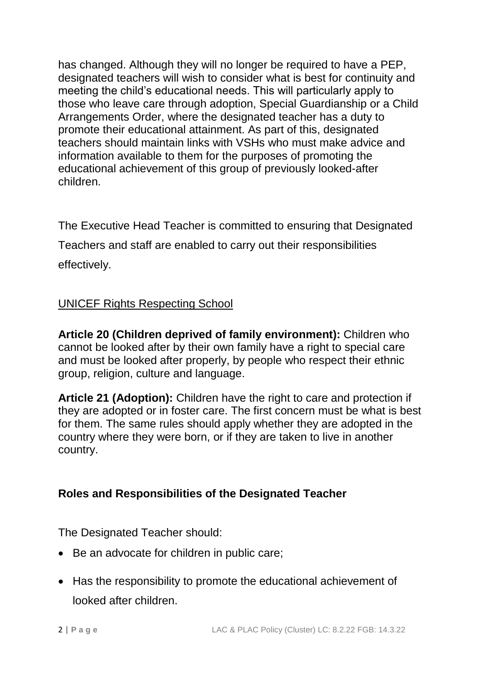has changed. Although they will no longer be required to have a PEP, designated teachers will wish to consider what is best for continuity and meeting the child's educational needs. This will particularly apply to those who leave care through adoption, Special Guardianship or a Child Arrangements Order, where the designated teacher has a duty to promote their educational attainment. As part of this, designated teachers should maintain links with VSHs who must make advice and information available to them for the purposes of promoting the educational achievement of this group of previously looked-after children.

The Executive Head Teacher is committed to ensuring that Designated Teachers and staff are enabled to carry out their responsibilities effectively.

#### UNICEF Rights Respecting School

**Article 20 (Children deprived of family environment):** Children who cannot be looked after by their own family have a right to special care and must be looked after properly, by people who respect their ethnic group, religion, culture and language.

**Article 21 (Adoption):** Children have the right to care and protection if they are adopted or in foster care. The first concern must be what is best for them. The same rules should apply whether they are adopted in the country where they were born, or if they are taken to live in another country.

### **Roles and Responsibilities of the Designated Teacher**

The Designated Teacher should:

- Be an advocate for children in public care;
- Has the responsibility to promote the educational achievement of looked after children.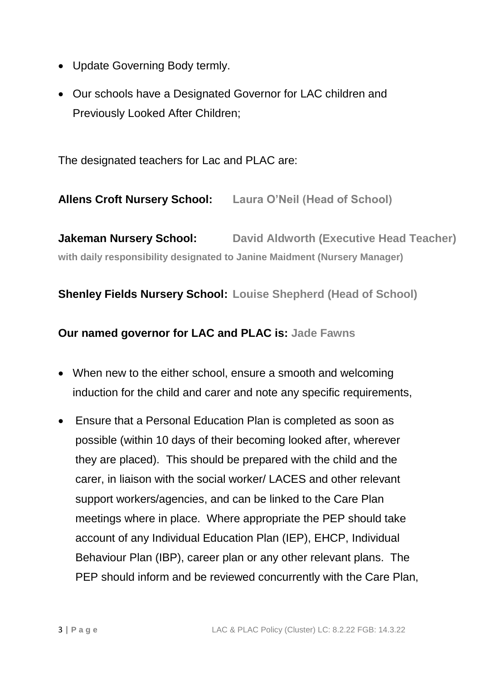- Update Governing Body termly.
- Our schools have a Designated Governor for LAC children and Previously Looked After Children;

The designated teachers for Lac and PLAC are:

**Allens Croft Nursery School: Laura O'Neil (Head of School)**

**Jakeman Nursery School: David Aldworth (Executive Head Teacher) with daily responsibility designated to Janine Maidment (Nursery Manager)**

**Shenley Fields Nursery School: Louise Shepherd (Head of School)**

**Our named governor for LAC and PLAC is: Jade Fawns**

- When new to the either school, ensure a smooth and welcoming induction for the child and carer and note any specific requirements,
- Ensure that a Personal Education Plan is completed as soon as possible (within 10 days of their becoming looked after, wherever they are placed). This should be prepared with the child and the carer, in liaison with the social worker/ LACES and other relevant support workers/agencies, and can be linked to the Care Plan meetings where in place. Where appropriate the PEP should take account of any Individual Education Plan (IEP), EHCP, Individual Behaviour Plan (IBP), career plan or any other relevant plans. The PEP should inform and be reviewed concurrently with the Care Plan,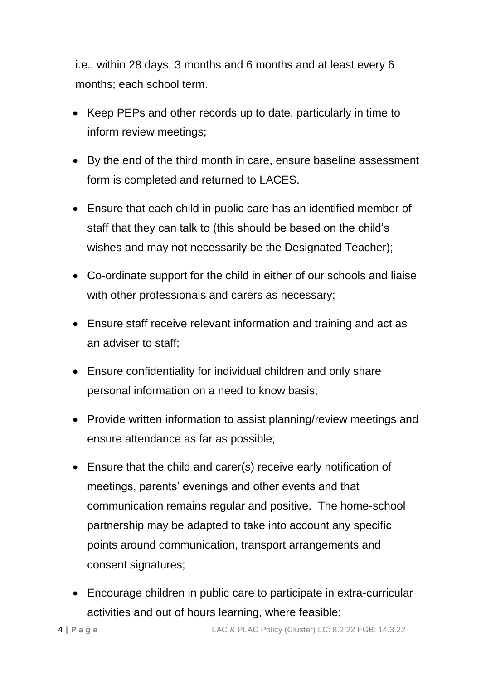i.e., within 28 days, 3 months and 6 months and at least every 6 months; each school term.

- Keep PEPs and other records up to date, particularly in time to inform review meetings;
- By the end of the third month in care, ensure baseline assessment form is completed and returned to LACES.
- Ensure that each child in public care has an identified member of staff that they can talk to (this should be based on the child's wishes and may not necessarily be the Designated Teacher);
- Co-ordinate support for the child in either of our schools and liaise with other professionals and carers as necessary;
- Ensure staff receive relevant information and training and act as an adviser to staff;
- Ensure confidentiality for individual children and only share personal information on a need to know basis;
- Provide written information to assist planning/review meetings and ensure attendance as far as possible;
- Ensure that the child and carer(s) receive early notification of meetings, parents' evenings and other events and that communication remains regular and positive. The home-school partnership may be adapted to take into account any specific points around communication, transport arrangements and consent signatures;
- Encourage children in public care to participate in extra-curricular activities and out of hours learning, where feasible;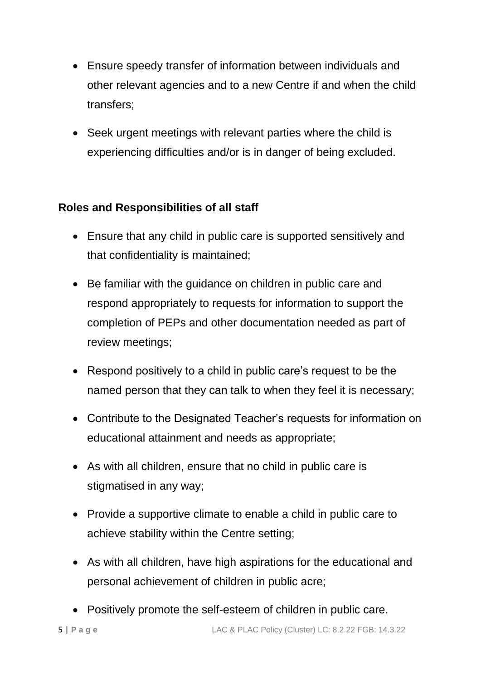- Ensure speedy transfer of information between individuals and other relevant agencies and to a new Centre if and when the child transfers;
- Seek urgent meetings with relevant parties where the child is experiencing difficulties and/or is in danger of being excluded.

### **Roles and Responsibilities of all staff**

- Ensure that any child in public care is supported sensitively and that confidentiality is maintained;
- Be familiar with the guidance on children in public care and respond appropriately to requests for information to support the completion of PEPs and other documentation needed as part of review meetings;
- Respond positively to a child in public care's request to be the named person that they can talk to when they feel it is necessary;
- Contribute to the Designated Teacher's requests for information on educational attainment and needs as appropriate;
- As with all children, ensure that no child in public care is stigmatised in any way;
- Provide a supportive climate to enable a child in public care to achieve stability within the Centre setting;
- As with all children, have high aspirations for the educational and personal achievement of children in public acre;
- Positively promote the self-esteem of children in public care.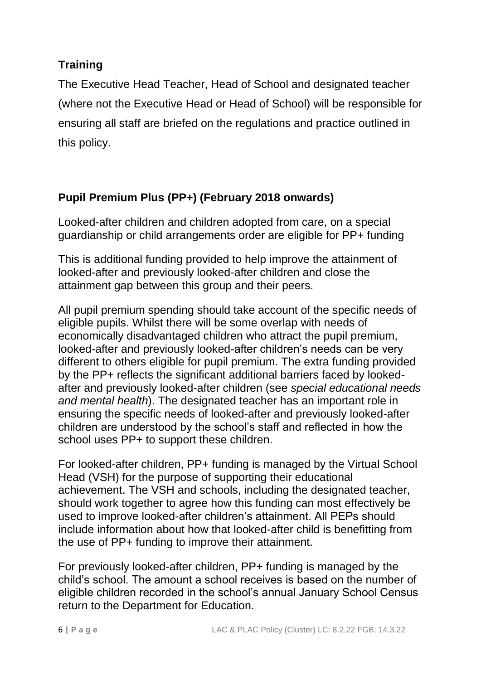## **Training**

The Executive Head Teacher, Head of School and designated teacher (where not the Executive Head or Head of School) will be responsible for ensuring all staff are briefed on the regulations and practice outlined in this policy.

## **Pupil Premium Plus (PP+) (February 2018 onwards)**

Looked-after children and children adopted from care, on a special guardianship or child arrangements order are eligible for PP+ funding

This is additional funding provided to help improve the attainment of looked-after and previously looked-after children and close the attainment gap between this group and their peers.

All pupil premium spending should take account of the specific needs of eligible pupils. Whilst there will be some overlap with needs of economically disadvantaged children who attract the pupil premium, looked-after and previously looked-after children's needs can be very different to others eligible for pupil premium. The extra funding provided by the PP+ reflects the significant additional barriers faced by lookedafter and previously looked-after children (see *special educational needs and mental health*). The designated teacher has an important role in ensuring the specific needs of looked-after and previously looked-after children are understood by the school's staff and reflected in how the school uses PP+ to support these children.

For looked-after children, PP+ funding is managed by the Virtual School Head (VSH) for the purpose of supporting their educational achievement. The VSH and schools, including the designated teacher, should work together to agree how this funding can most effectively be used to improve looked-after children's attainment. All PEPs should include information about how that looked-after child is benefitting from the use of PP+ funding to improve their attainment.

For previously looked-after children, PP+ funding is managed by the child's school. The amount a school receives is based on the number of eligible children recorded in the school's annual January School Census return to the Department for Education.